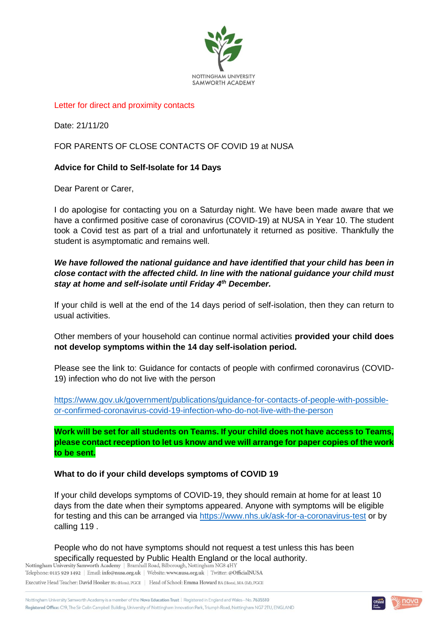

### Letter for direct and proximity contacts

Date: 21/11/20

# FOR PARENTS OF CLOSE CONTACTS OF COVID 19 at NUSA

# **Advice for Child to Self-Isolate for 14 Days**

Dear Parent or Carer,

I do apologise for contacting you on a Saturday night. We have been made aware that we have a confirmed positive case of coronavirus (COVID-19) at NUSA in Year 10. The student took a Covid test as part of a trial and unfortunately it returned as positive. Thankfully the student is asymptomatic and remains well.

### *We have followed the national guidance and have identified that your child has been in close contact with the affected child. In line with the national guidance your child must stay at home and self-isolate until Friday 4th December.*

If your child is well at the end of the 14 days period of self-isolation, then they can return to usual activities.

Other members of your household can continue normal activities **provided your child does not develop symptoms within the 14 day self-isolation period.** 

Please see the link to: Guidance for contacts of people with confirmed coronavirus (COVID-19) infection who do not live with the person

[https://www.gov.uk/government/publications/guidance-for-contacts-of-people-with-possible](https://www.gov.uk/government/publications/guidance-for-contacts-of-people-with-possible-or-confirmed-coronavirus-covid-19-infection-who-do-not-live-with-the-person)[or-confirmed-coronavirus-covid-19-infection-who-do-not-live-with-the-person](https://www.gov.uk/government/publications/guidance-for-contacts-of-people-with-possible-or-confirmed-coronavirus-covid-19-infection-who-do-not-live-with-the-person)

**Work will be set for all students on Teams. If your child does not have access to Teams, please contact reception to let us know and we will arrange for paper copies of the work to be sent.**

### **What to do if your child develops symptoms of COVID 19**

If your child develops symptoms of COVID-19, they should remain at home for at least 10 days from the date when their symptoms appeared. Anyone with symptoms will be eligible for testing and this can be arranged via<https://www.nhs.uk/ask-for-a-coronavirus-test> or by calling 119 .

People who do not have symptoms should not request a test unless this has been Specifically requested by Public Health England or the local authority.<br>Nottingham University Samworth Academy | Bramhall Road, Bilborough, Nottingham NG84HY

Telephone: 0115 929 1492 | Email: info@nusa.org.uk | Website: www.nusa.org.uk | Twitter: @OfficialNUSA Executive Head Teacher: David Hooker BSc (Hons), PGCE | Head of School: Emma Howard BA (Hons), MA (Ed), PGCE

Nottingham University Samworth Academy is a member of the Nova Education Trust | Registered in England and Wales-No. 7635510 Registered Office: C19, The Sir Colin Campbell Building, University of Nottingham Innovation Park, Triumph Road, Nottingham NG7 2TU, ENGLAND

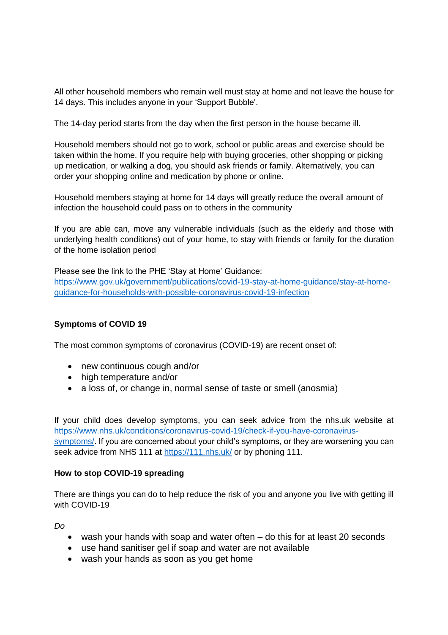All other household members who remain well must stay at home and not leave the house for 14 days. This includes anyone in your 'Support Bubble'.

The 14-day period starts from the day when the first person in the house became ill.

Household members should not go to work, school or public areas and exercise should be taken within the home. If you require help with buying groceries, other shopping or picking up medication, or walking a dog, you should ask friends or family. Alternatively, you can order your shopping online and medication by phone or online.

Household members staying at home for 14 days will greatly reduce the overall amount of infection the household could pass on to others in the community

If you are able can, move any vulnerable individuals (such as the elderly and those with underlying health conditions) out of your home, to stay with friends or family for the duration of the home isolation period

Please see the link to the PHE 'Stay at Home' Guidance:

[https://www.gov.uk/government/publications/covid-19-stay-at-home-guidance/stay-at-home](https://www.gov.uk/government/publications/covid-19-stay-at-home-guidance/stay-at-home-guidance-for-households-with-possible-coronavirus-covid-19-infection)[guidance-for-households-with-possible-coronavirus-covid-19-infection](https://www.gov.uk/government/publications/covid-19-stay-at-home-guidance/stay-at-home-guidance-for-households-with-possible-coronavirus-covid-19-infection)

# **Symptoms of COVID 19**

The most common symptoms of coronavirus (COVID-19) are recent onset of:

- new continuous cough and/or
- high temperature and/or
- a loss of, or change in, normal sense of taste or smell (anosmia)

If your child does develop symptoms, you can seek advice from the nhs.uk website at [https://www.nhs.uk/conditions/coronavirus-covid-19/check-if-you-have-coronavirus](https://www.nhs.uk/conditions/coronavirus-covid-19/check-if-you-have-coronavirus-symptoms/)[symptoms/.](https://www.nhs.uk/conditions/coronavirus-covid-19/check-if-you-have-coronavirus-symptoms/) If you are concerned about your child's symptoms, or they are worsening you can seek advice from NHS 111 at<https://111.nhs.uk/> or by phoning 111.

### **How to stop COVID-19 spreading**

There are things you can do to help reduce the risk of you and anyone you live with getting ill with COVID-19

*Do*

- wash your hands with soap and water often do this for at least 20 seconds
- use hand sanitiser gel if soap and water are not available
- wash your hands as soon as you get home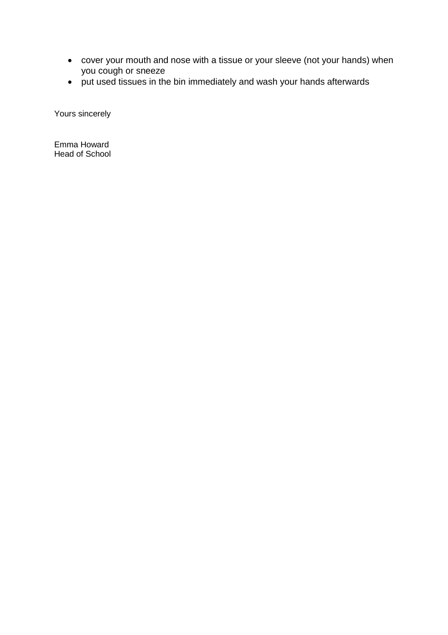- cover your mouth and nose with a tissue or your sleeve (not your hands) when you cough or sneeze
- put used tissues in the bin immediately and wash your hands afterwards

Yours sincerely

Emma Howard Head of School